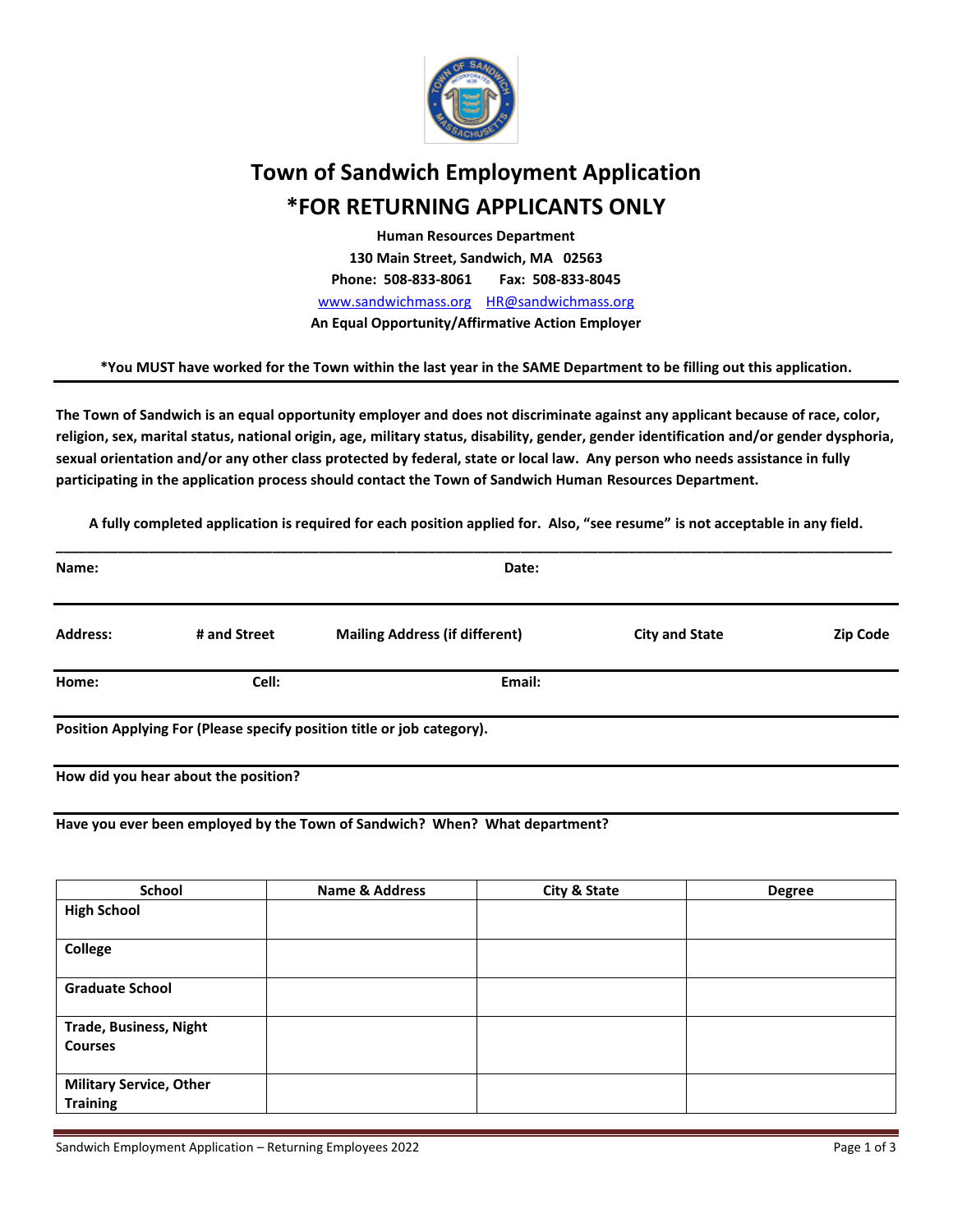

# **Town of Sandwich Employment Application \*FOR RETURNING APPLICANTS ONLY**

**Human Resources Department 130 Main Street, Sandwich, MA 02563 Phone: 508-833-8061 Fax: 508-833-8045** [www.sandwichmass.org](http://www.sandwichmass.org/) [HR@sandwichmass.o](mailto:HR@sandwichmass.)rg **An Equal Opportunity/Affirmative Action Employer**

**\*You MUST have worked for the Town within the last year in the SAME Department to be filling out this application.**

**The Town of Sandwich is an equal opportunity employer and does not discriminate against any applicant because of race, color, religion, sex, marital status, national origin, age, military status, disability, gender, gender identification and/or gender dysphoria, sexual orientation and/or any other class protected by federal, state or local law. Any person who needs assistance in fully participating in the application process should contact the Town of Sandwich Human Resources Department.**

**A fully completed application is required for each position applied for. Also, "see resume" is not acceptable in any field.**

| Name:           | Date:                                |                                                                        |                       |          |  |
|-----------------|--------------------------------------|------------------------------------------------------------------------|-----------------------|----------|--|
| <b>Address:</b> | # and Street                         | <b>Mailing Address (if different)</b>                                  | <b>City and State</b> | Zip Code |  |
| Home:           | Cell:                                | Email:                                                                 |                       |          |  |
|                 |                                      | Position Applying For (Please specify position title or job category). |                       |          |  |
|                 | How did you hear about the position? |                                                                        |                       |          |  |

**Have you ever been employed by the Town of Sandwich? When? What department?**

| School                                            | <b>Name &amp; Address</b> | <b>City &amp; State</b> | <b>Degree</b> |
|---------------------------------------------------|---------------------------|-------------------------|---------------|
| <b>High School</b>                                |                           |                         |               |
| <b>College</b>                                    |                           |                         |               |
| <b>Graduate School</b>                            |                           |                         |               |
| <b>Trade, Business, Night</b><br><b>Courses</b>   |                           |                         |               |
| <b>Military Service, Other</b><br><b>Training</b> |                           |                         |               |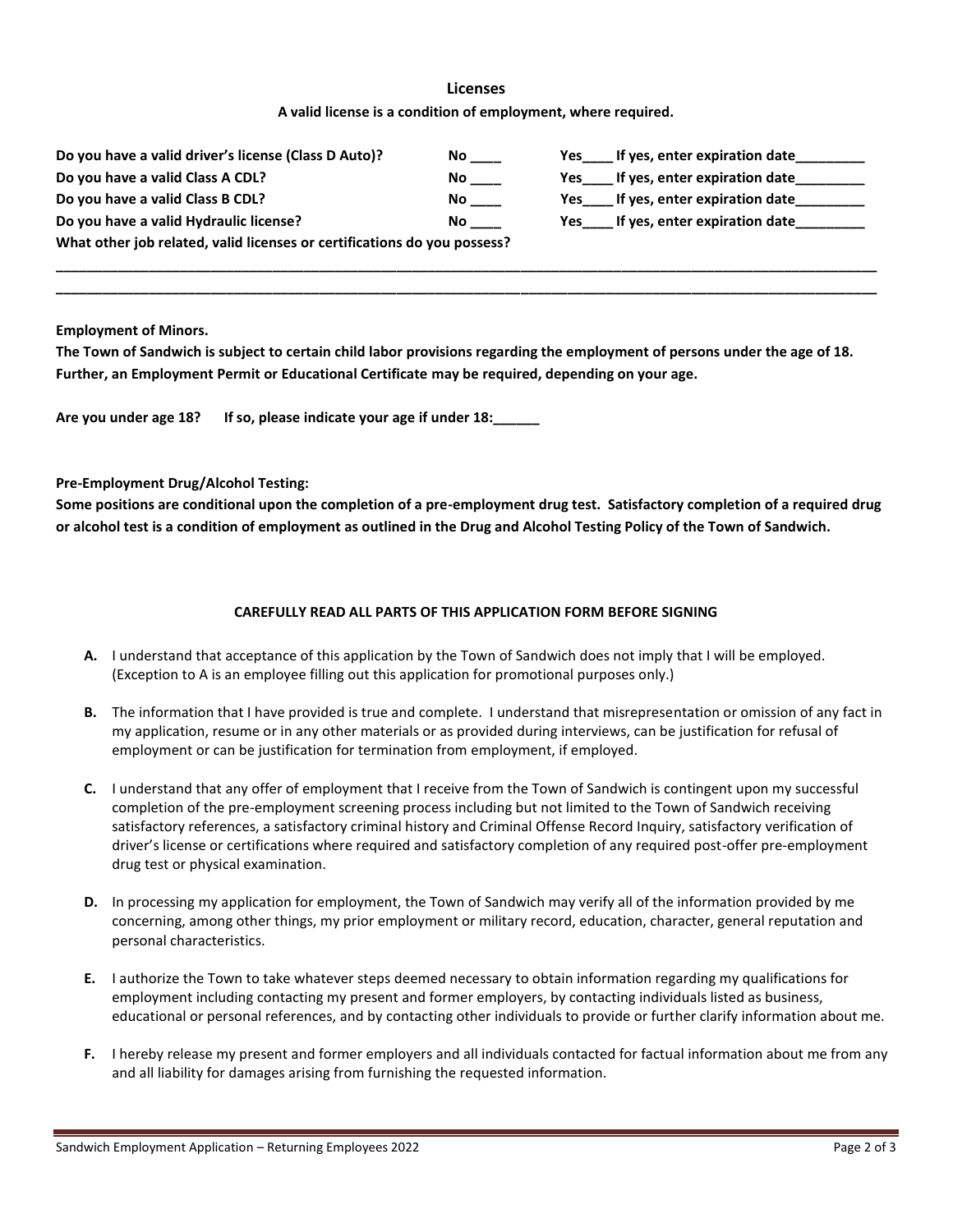### **Licenses**

**A valid license is a condition of employment, where required.**

| Do you have a valid driver's license (Class D Auto)?                     | No. | If yes, enter expiration date<br>Yes |  |  |
|--------------------------------------------------------------------------|-----|--------------------------------------|--|--|
| Do you have a valid Class A CDL?                                         | No. | If yes, enter expiration date<br>Yes |  |  |
| Do you have a valid Class B CDL?                                         | No. | If yes, enter expiration date<br>Yes |  |  |
| Do you have a valid Hydraulic license?                                   | No. | If yes, enter expiration date<br>Yes |  |  |
| What other job related, valid licenses or certifications do you possess? |     |                                      |  |  |

**\_\_\_\_\_\_\_\_\_\_\_\_\_\_\_\_\_\_\_\_\_\_\_\_\_\_\_\_\_\_\_\_\_\_\_\_\_\_\_\_\_\_\_\_\_\_\_\_\_\_\_\_\_\_\_\_\_\_\_\_\_\_\_\_\_\_\_\_\_\_\_\_\_\_\_\_\_\_\_\_\_\_\_\_\_\_\_\_\_\_\_\_\_\_\_\_\_\_\_\_\_\_\_\_\_\_ \_\_\_\_\_\_\_\_\_\_\_\_\_\_\_\_\_\_\_\_\_\_\_\_\_\_\_\_\_\_\_\_\_\_\_\_\_\_\_\_\_\_\_\_\_\_\_\_\_\_\_\_\_\_\_\_\_\_\_\_\_\_\_\_\_\_\_\_\_\_\_\_\_\_\_\_\_\_\_\_\_\_\_\_\_\_\_\_\_\_\_\_\_\_\_\_\_\_\_\_\_\_\_\_\_\_**

**Employment of Minors.**

**The Town of Sandwich is subject to certain child labor provisions regarding the employment of persons under the age of 18. Further, an Employment Permit or Educational Certificate may be required, depending on your age.**

**Are you under age 18? If so, please indicate your age if under 18:\_\_\_\_\_\_**

#### **Pre-Employment Drug/Alcohol Testing:**

**Some positions are conditional upon the completion of a pre-employment drug test. Satisfactory completion of a required drug or alcohol test is a condition of employment as outlined in the Drug and Alcohol Testing Policy of the Town of Sandwich.**

#### **CAREFULLY READ ALL PARTS OF THIS APPLICATION FORM BEFORE SIGNING**

- **A.** I understand that acceptance of this application by the Town of Sandwich does not imply that I will be employed. (Exception to A is an employee filling out this application for promotional purposes only.)
- **B.** The information that I have provided is true and complete. I understand that misrepresentation or omission of any fact in my application, resume or in any other materials or as provided during interviews, can be justification for refusal of employment or can be justification for termination from employment, if employed.
- **C.** I understand that any offer of employment that I receive from the Town of Sandwich is contingent upon my successful completion of the pre-employment screening process including but not limited to the Town of Sandwich receiving satisfactory references, a satisfactory criminal history and Criminal Offense Record Inquiry, satisfactory verification of driver's license or certifications where required and satisfactory completion of any required post-offer pre-employment drug test or physical examination.
- **D.** In processing my application for employment, the Town of Sandwich may verify all of the information provided by me concerning, among other things, my prior employment or military record, education, character, general reputation and personal characteristics.
- **E.** I authorize the Town to take whatever steps deemed necessary to obtain information regarding my qualifications for employment including contacting my present and former employers, by contacting individuals listed as business, educational or personal references, and by contacting other individuals to provide or further clarify information about me.
- **F.** I hereby release my present and former employers and all individuals contacted for factual information about me from any and all liability for damages arising from furnishing the requested information.